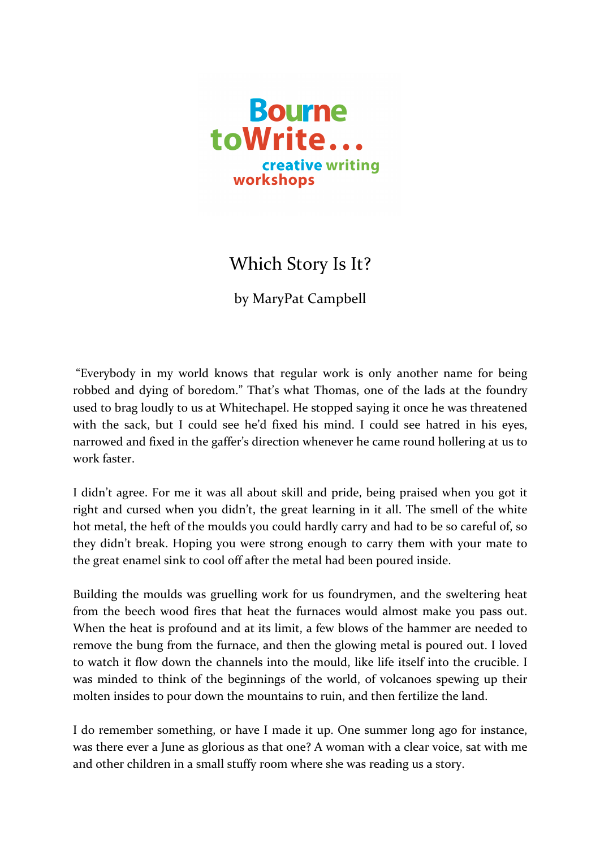

## Which Story Is It?

by MaryPat Campbell

"Everybody in my world knows that regular work is only another name for being robbed and dying of boredom." That's what Thomas, one of the lads at the foundry used to brag loudly to us at Whitechapel. He stopped saying it once he was threatened with the sack, but I could see he'd fixed his mind. I could see hatred in his eyes, narrowed and fixed in the gaffer's direction whenever he came round hollering at us to work faster.

I didn't agree. For me it was all about skill and pride, being praised when you got it right and cursed when you didn't, the great learning in it all. The smell of the white hot metal, the heft of the moulds you could hardly carry and had to be so careful of, so they didn't break. Hoping you were strong enough to carry them with your mate to the great enamel sink to cool off after the metal had been poured inside.

Building the moulds was gruelling work for us foundrymen, and the sweltering heat from the beech wood fires that heat the furnaces would almost make you pass out. When the heat is profound and at its limit, a few blows of the hammer are needed to remove the bung from the furnace, and then the glowing metal is poured out. I loved to watch it flow down the channels into the mould, like life itself into the crucible. I was minded to think of the beginnings of the world, of volcanoes spewing up their molten insides to pour down the mountains to ruin, and then fertilize the land.

I do remember something, or have I made it up. One summer long ago for instance, was there ever a June as glorious as that one? A woman with a clear voice, sat with me and other children in a small stuffy room where she was reading us a story.